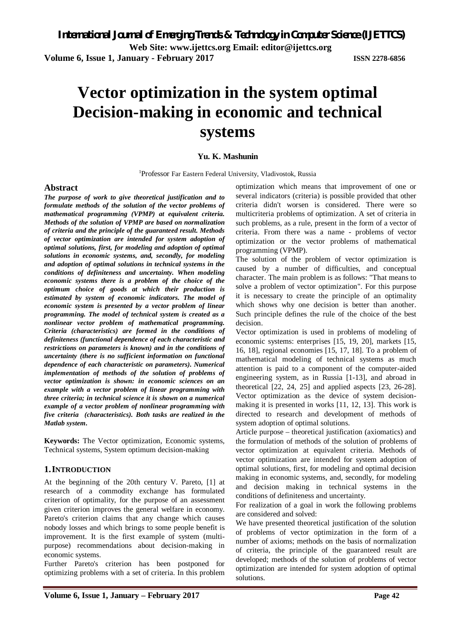**Volume 6, Issue 1, January - February 2017 ISSN 2278-6856**

# **Vector optimization in the system optimal Decision-making in economic and technical systems**

## **Yu. K. Mashunin**

<sup>1</sup>Professor Far Eastern Federal University, Vladivostok, Russia

## **Abstract**

*The purpose of work to give theoretical justification and to formulate methods of the solution of the vector problems of mathematical programming (VPMP) at equivalent criteria. Methods of the solution of VPMP are based on normalization of criteria and the principle of the guaranteed result. Methods of vector optimization are intended for system adoption of optimal solutions, first, for modeling and adoption of optimal solutions in economic systems, and, secondly, for modeling and adoption of optimal solutions in technical systems in the conditions of definiteness and uncertainty. When modeling economic systems there is a problem of the choice of the optimum choice of goods at which their production is estimated by system of economic indicators. The model of economic system is presented by a vector problem of linear programming. The model of technical system is created as a nonlinear vector problem of mathematical programming. Criteria (characteristics) are formed in the conditions of definiteness (functional dependence of each characteristic and restrictions on parameters is known) and in the conditions of uncertainty (there is no sufficient information on functional dependence of each characteristic on parameters). Numerical implementation of methods of the solution of problems of vector optimization is shown: in economic sciences on an example with a vector problem of linear programming with three criteria; in technical science it is shown on a numerical example of a vector problem of nonlinear programming with five criteria (characteristics). Both tasks are realized in the Matlab system.*

**Keywords:** The Vector optimization, Economic systems, Technical systems, System optimum decision-making

## **1.INTRODUCTION**

At the beginning of the 20th century V. Pareto, [1] at research of a commodity exchange has formulated criterion of optimality, for the purpose of an assessment given criterion improves the general welfare in economy. Pareto's criterion claims that any change which causes nobody losses and which brings to some people benefit is improvement. It is the first example of system (multipurpose) recommendations about decision-making in economic systems.

Further Pareto's criterion has been postponed for optimizing problems with a set of criteria. In this problem

optimization which means that improvement of one or several indicators (criteria) is possible provided that other criteria didn't worsen is considered. There were so multicriteria problems of optimization. A set of criteria in such problems, as a rule, present in the form of a vector of criteria. From there was a name - problems of vector optimization or the vector problems of mathematical programming (VPMP).

The solution of the problem of vector optimization is caused by a number of difficulties, and conceptual character. The main problem is as follows: "That means to solve a problem of vector optimization". For this purpose it is necessary to create the principle of an optimality which shows why one decision is better than another. Such principle defines the rule of the choice of the best decision.

Vector optimization is used in problems of modeling of economic systems: enterprises [15, 19, 20], markets [15, 16, 18], regional economies [15, 17, 18]. To a problem of mathematical modeling of technical systems as much attention is paid to a component of the computer-aided engineering system, as in Russia [1-13], and abroad in theoretical [22, 24, 25] and applied aspects [23, 26-28]. Vector optimization as the device of system decisionmaking it is presented in works [11, 12, 13]. This work is directed to research and development of methods of system adoption of optimal solutions.

Article purpose – theoretical justification (axiomatics) and the formulation of methods of the solution of problems of vector optimization at equivalent criteria. Methods of vector optimization are intended for system adoption of optimal solutions, first, for modeling and optimal decision making in economic systems, and, secondly, for modeling and decision making in technical systems in the conditions of definiteness and uncertainty.

For realization of a goal in work the following problems are considered and solved:

We have presented theoretical justification of the solution of problems of vector optimization in the form of a number of axioms; methods on the basis of normalization of criteria, the principle of the guaranteed result are developed; methods of the solution of problems of vector optimization are intended for system adoption of optimal solutions.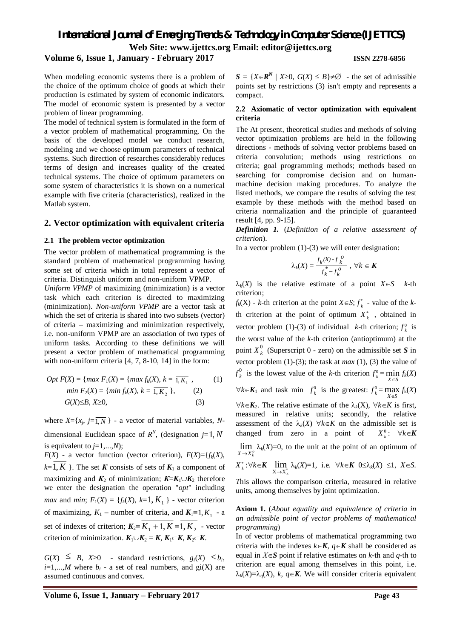## **Volume 6, Issue 1, January - February 2017 ISSN 2278-6856**

When modeling economic systems there is a problem of the choice of the optimum choice of goods at which their production is estimated by system of economic indicators. The model of economic system is presented by a vector problem of linear programming.

The model of technical system is formulated in the form of a vector problem of mathematical programming. On the basis of the developed model we conduct research, modeling and we choose optimum parameters of technical systems. Such direction of researches considerably reduces terms of design and increases quality of the created technical systems. The choice of optimum parameters on some system of characteristics it is shown on a numerical example with five criteria (characteristics), realized in the Matlab system.

### **2. Vector optimization with equivalent criteria**

### **2.1 The problem vector optimization**

The vector problem of mathematical programming is the standard problem of mathematical programming having some set of criteria which in total represent a vector of criteria. Distinguish uniform and non-uniform VPMP.

*Uniform VPMP* of maximizing (minimization) is a vector task which each criterion is directed to maximizing (minimization). *Non-uniform VPMP* are a vector task at which the set of criteria is shared into two subsets (vector) of criteria – maximizing and minimization respectively, i.e. non-uniform VPMP are an association of two types of uniform tasks. According to these definitions we will present a vector problem of mathematical programming with non-uniform criteria [4, 7, 8-10, 14] in the form:

$$
Opt F(X) = \{ \max F_1(X) = \{ \max f_k(X), k = \overline{1, K_1} \},
$$
\n
$$
\min F_2(X) = \{ \min f_k(X), k = \overline{1, K_2} \},
$$
\n(2)\nG(X) ≤ B, X≥0, (3)

where  $X = \{x_j, j = \overline{1, N}\}\$  - a vector of material variables, Ndimensional Euclidean space of  $R^N$ , (designation  $j=1, N$ is equivalent to  $j=1,...,N$ ;

 $F(X)$  - a vector function (vector criterion),  $F(X) = {f_k(X)}$ ,  $k=1, K$  }. The set *K* consists of sets of  $K_1$  a component of maximizing and  $K_2$  of minimization;  $K = K_1 \cup K_2$  therefore we enter the designation the operation "*opt*" including *max* and *min*;  $F_1(X) = \{f_k(X), k=1, K_1\}$  - vector criterion of maximizing,  $K_1$  – number of criteria, and  $K_1 = 1, K_1$  - a set of indexes of criterion;  $K_2 = \overline{K_1 + 1, K} = \overline{K_2}$  - vector criterion of minimization.  $K_1 \cup K_2 = K$ ,  $K_1 \subset K$ ,  $K_2 \subset K$ .

 $G(X) \leq B$ ,  $X \geq 0$  - standard restrictions,  $g_i(X) \leq b_i$ ,  $i=1,...,M$  where  $b_i$  - a set of real numbers, and  $gi(X)$  are assumed continuous and convex.

 $S = \{X \in \mathbb{R}^N \mid X \geq 0, G(X) \leq B\} \neq \emptyset$  - the set of admissible points set by restrictions (3) isn't empty and represents a compact.

### **2.2 Axiomatic of vector optimization with equivalent criteria**

The At present, theoretical studies and methods of solving vector optimization problems are held in the following directions - methods of solving vector problems based on criteria convolution; methods using restrictions on criteria; goal programming methods; methods based on searching for compromise decision and on humanmachine decision making procedures. To analyze the listed methods, we compare the results of solving the test example by these methods with the method based on criteria normalization and the principle of guaranteed result [4, pp. 9-15].

*Definition 1.* (*Definition of a relative assessment of criterion*).

In a vector problem  $(1)-(3)$  we will enter designation:

$$
\lambda_k(X) = \frac{f_k(X) \cdot f_k^o}{f_k^* - f_k^o} , \ \forall k \in \mathbf{K}
$$

 $\lambda_k(X)$  is the relative estimate of a point  $X \in S$  *k*-th criterion;

 $f_k(X)$  - *k*-th criterion at the point  $X \in S$ ;  $f_k^*$  - value of the *k*th criterion at the point of optimum  $X_k^*$ , obtained in vector problem (1)-(3) of individual *k*-th criterion;  $f_k^0$  is the worst value of the *k*-th criterion (antioptimum) at the point  $X_k^0$ <sup>o</sup> (Superscript 0 - zero) on the admissible set *S* in vector problem (1)-(3); the task at *max* (1), (3) the value of  ${f}_{k}^{\rm{0}}$ <sup>0</sup> is the lowest value of the *k*-th criterion  $f_k^0 = \min_{X \in S} f_k(X)$  $\forall k \in \mathbf{K}_1$  and task min  $f_k^0$  is the greatest:  $f_k^0 = \max_{X \in S} f_k(X)$  $\forall k \in \mathbf{K}$ . The relative estimate of the  $\lambda_k(\mathbf{X})$ ,  $\forall k \in \mathbf{K}$  is first, measured in relative units; secondly, the relative assessment of the  $\lambda_k(X)$   $\forall k \in K$  on the admissible set is changed from zero in a point of *X* <sup>0</sup>:  $\forall k \in K$ 

 $X \rightarrow X_k^c$ lim  $\lambda_k(X)=0$ , to the unit at the point of an optimum of

$$
X_k^*:\forall k\in K \ \lim_{X\to X_k^*}\lambda_k(X)=1, \ \text{ i.e. } \ \forall k\in K \ \ 0\leq \lambda_k(X)\ \leq 1, \ X\in S.
$$

*T*his allows the comparison criteria, measured in relative units, among themselves by joint optimization.

**Axiom 1.** (*About equality and equivalence of criteria in an admissible point of vector problems of mathematical programming*)

In of vector problems of mathematical programming two criteria with the indexes  $k \in K$ ,  $q \in K$  shall be considered as equal in  $X \in S$  point if relative estimates on *k*-th and *q*-th to criterion are equal among themselves in this point, i.e.  $\lambda_k(X) = \lambda_q(X)$ , *k*,  $q \in K$ . We will consider criteria equivalent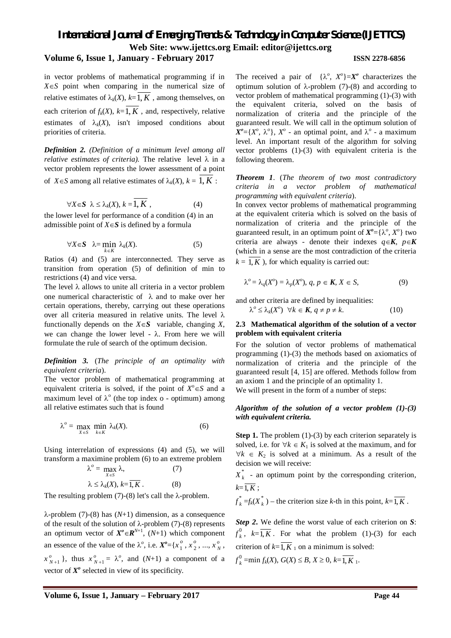## **Volume 6, Issue 1, January - February 2017 ISSN 2278-6856**

in vector problems of mathematical programming if in  $X \in S$  point when comparing in the numerical size of relative estimates of  $\lambda_k(X)$ ,  $k = \overline{1, K}$ , among themselves, on each criterion of  $f_k(X)$ ,  $k = \overline{1, K}$ , and, respectively, relative estimates of  $\lambda_k(X)$ , isn't imposed conditions about priorities of criteria.

*Definition 2. (Definition of a minimum level among all relative estimates of criteria*). The relative level  $\lambda$  in a vector problem represents the lower assessment of a point of *X* $\in$ *S* among all relative estimates of  $\lambda_k$ (*X*),  $k = 1, K$ :

$$
\forall X \in S \ \lambda \leq \lambda_k(X), \ k = \overline{1, K} \ , \tag{4}
$$

the lower level for performance of a condition (4) in an admissible point of  $X \in S$  is defined by a formula

$$
\forall X \in S \quad \lambda = \min_{k \in K} \lambda_k(X). \tag{5}
$$

Ratios (4) and (5) are interconnected. They serve as transition from operation (5) of definition of min to restrictions (4) and vice versa.

The level  $\lambda$  allows to unite all criteria in a vector problem one numerical characteristic of  $\lambda$  and to make over her certain operations, thereby, carrying out these operations over all criteria measured in relative units. The level  $\lambda$ functionally depends on the  $X \in S$  variable, changing *X*, we can change the lower level -  $\lambda$ . From here we will formulate the rule of search of the optimum decision.

*Definition 3.* (*The principle of an optimality with equivalent criteria*).

The vector problem of mathematical programming at equivalent criteria is solved, if the point of  $X^{\circ} \in S$  and a maximum level of  $\lambda^{\circ}$  (the top index o - optimum) among all relative estimates such that is found

$$
\lambda^{\circ} = \max_{X \in S} \min_{k \in K} \lambda_k(X). \tag{6}
$$

Using interrelation of expressions (4) and (5), we will transform a maximine problem (6) to an extreme problem

$$
\lambda^{o} = \max_{X \in S} \lambda,
$$
\n(7)  
\n
$$
\lambda \le \lambda_{k}(X), k = \overline{1, K}.
$$
\n(8)

The resulting problem  $(7)-(8)$  let's call the  $\lambda$ -problem.

 $\lambda$ -problem (7)-(8) has (N+1) dimension, as a consequence of the result of the solution of  $\lambda$ -problem (7)-(8) represents an optimum vector of  $X^{\circ} \in \mathbb{R}^{N+1}$ ,  $(N+1)$  which component an essence of the value of the  $\lambda^o$ , i.e.  $X^o = \{x_1^o\}$  $\frac{0}{1}$ ,  $x_2^0$  $\frac{1}{2}$ , ...,  $x_N^o$ ,  $x_{N+1}^o$ , thus  $x_{N+1}^o = \lambda^o$ , and  $(N+1)$  a component of a vector of  $X^o$  selected in view of its specificity.

The received a pair of  $\{\lambda^o, X^o\} = X^o$  characterizes the optimum solution of  $\lambda$ -problem (7)-(8) and according to vector problem of mathematical programming (1)-(3) with the equivalent criteria, solved on the basis of normalization of criteria and the principle of the guaranteed result. We will call in the optimum solution of  $X^o = \{X^o, \lambda^o\}$ ,  $X^o$  - an optimal point, and  $\lambda^o$  - a maximum level. An important result of the algorithm for solving vector problems (1)-(3) with equivalent criteria is the following theorem.

*Theorem 1*. (*The theorem of two most contradictory criteria in a vector problem of mathematical programming with equivalent criteria*).

In convex vector problems of mathematical programming at the equivalent criteria which is solved on the basis of normalization of criteria and the principle of the guaranteed result, in an optimum point of  $X^o = \{ \lambda^o, X^o \}$  two criteria are always - denote their indexes  $q \in K$ ,  $p \in K$ (which in a sense are the most contradiction of the criteria  $k = \overline{1, K}$ ), for which equality is carried out:

$$
\lambda^o = \lambda_q(X^o) = \lambda_p(X^o), \, q, \, p \in \mathbf{K}, \, X \in S,\tag{9}
$$

and other criteria are defined by inequalities:

$$
\lambda^o \leq \lambda_k(X^o) \quad \forall k \in \mathbf{K}, \, q \neq p \neq k. \tag{10}
$$

### **2.3 Mathematical algorithm of the solution of a vector problem with equivalent criteria**

For the solution of vector problems of mathematical programming (1)-(3) the methods based on axiomatics of normalization of criteria and the principle of the guaranteed result [4, 15] are offered. Methods follow from an axiom 1 and the principle of an optimality 1. We will present in the form of a number of steps:

### *Algorithm of the solution of a vector problem (1)-(3) with equivalent criteria.*

**Step 1.** The problem (1)-(3) by each criterion separately is solved, i.e. for  $\forall k \in K_1$  is solved at the maximum, and for  $\forall k \in K_2$  is solved at a minimum. As a result of the decision we will receive:

 $X_k^*$  $\bar{k}$  - an optimum point by the corresponding criterion,  $k=\overline{1,K}$ :

$$
f_k^* = f_k(X_k^*)
$$
 – the criterion size *k*-th in this point,  $k = \overline{1, K}$ .

*Step 2***.** We define the worst value of each criterion on *S*:  $f_k^0$  $k<sub>k</sub>$ ,  $k=1, K$ . For what the problem (1)-(3) for each criterion of  $k=\overline{1,K}$  1 on a minimum is solved:  $f_k^0$  $K_{k}^{0}$  =min  $f_{k}(X)$ ,  $G(X) \leq B, X \geq 0, k=1, K$ <sub>1</sub>.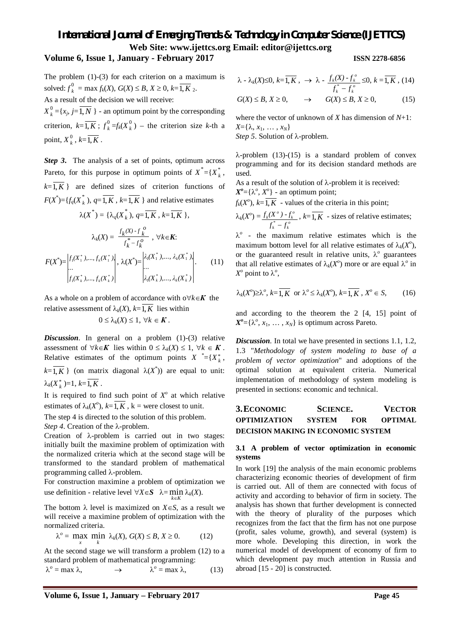## **Volume 6, Issue 1, January - February 2017 ISSN 2278-6856**

The problem (1)-(3) for each criterion on a maximum is solved:  $f_k^0$  $f_k^0$  = max  $f_k(X)$ ,  $G(X) \le B$ ,  $X \ge 0$ ,  $k=1$ ,  $K_2$ .

As a result of the decision we will receive:  $X^0_{\ k}$  $k<sup>0</sup> = {x_j, j=1, N}$  - an optimum point by the corresponding criterion,  $k = \overline{1, K}$ ;  $f_k^0$  $\frac{0}{k}$  =  $f_k(X)$  $\binom{0}{k}$  – the criterion size *k*-th a point,  $X_k^0$  $k^0$ ,  $k=1, K$ .

*Step 3***.** The analysis of a set of points, optimum across Pareto, for this purpose in optimum points of  $X^* = \{X_k^*\}$ *k* ,  $k=\overline{1,K}$  } are defined sizes of criterion functions of  $F(X^*) = \{f_q(X) \}_{k=1}^{\infty}$  $k$ ),  $q=1, K$ ,  $k=1, K$  } and relative estimates

$$
\lambda(X^*) = \{\lambda_q(X_k^*), q = \overline{1, K}, k = \overline{1, K}\},
$$

$$
\lambda_k(X) = \frac{f_k(X) \cdot f_k^o}{f_k^* - f_k^o}, \forall k \in K:
$$

$$
F(X^*) = \begin{vmatrix} f_1(X_1^*, \dots, f_k(X_1^*)) \\ \dots \\ f_1(X_k^*, \dots, f_k(X_k^*) \end{vmatrix}, \lambda(X^*) = \begin{vmatrix} \lambda_1(X_1^*, \dots, \lambda_k(X_1^*)) \\ \dots \\ \lambda_1(X_k^*, \dots, \lambda_k(X_k^*) \end{vmatrix}.
$$
(11)

As a whole on a problem of accordance with  $\alpha \forall k \in K$  the relative assessment of  $\lambda_k(X)$ ,  $k=\overline{1,K}$  lies within  $0 \leq \lambda_k(X) \leq 1, \ \forall k \in \mathbf{K}$ .

*Discussion*. In general on a problem (1)-(3) relative assessment of  $\forall k \in \mathbf{K}$  lies within  $0 \leq \lambda_k(X) \leq 1$ ,  $\forall k \in \mathbf{K}$ . Relative estimates of the optimum points  $X^* = \{X_k^*,$  $k = \overline{1, K}$  } (on matrix diagonal  $\lambda(X^*)$ ) are equal to unit:  $\lambda_k(X_k^*)=1, k=1, K$ .

It is required to find such point of  $X^{\circ}$  at which relative estimates of  $\lambda_k(X^o)$ ,  $k = \overline{1, K}$ ,  $k =$  were closest to unit.

The step 4 is directed to the solution of this problem.

*Step 4*. Creation of the  $\lambda$ -problem.

Creation of  $\lambda$ -problem is carried out in two stages: initially built the maximine problem of optimization with the normalized criteria which at the second stage will be transformed to the standard problem of mathematical programming called  $\lambda$ -problem.

For construction maximine a problem of optimization we use definition - relative level  $\forall X \in S$   $\lambda = \min_{k \in K} \lambda_k(X)$ .

The bottom  $\lambda$  level is maximized on  $X \in S$ , as a result we will receive a maximine problem of optimization with the normalized criteria.

$$
\lambda^{o} = \max_{x} \min_{k} \lambda_{k}(X), G(X) \leq B, X \geq 0. \tag{12}
$$

At the second stage we will transform a problem (12) to a standard problem of mathematical programming:

$$
\lambda^o = \max \lambda, \qquad \longrightarrow \qquad \lambda^o = \max \lambda, \qquad (13)
$$

$$
\lambda \cdot \lambda_k(X) \leq 0, k = \overline{1, K}, \rightarrow \lambda \cdot \frac{f_k(X) \cdot f_k^{\circ}}{f_k^* - f_k^{\circ}} \leq 0, k = \overline{1, K}, (14)
$$

 $G(X) \leq B, X \geq 0, \longrightarrow G(X) \leq B, X \geq 0,$  (15)

where the vector of unknown of *X* has dimension of *N*+1:  $X = \{\lambda, x_1, \ldots, x_N\}$ Step 5. Solution of  $\lambda$ -problem.

 $\lambda$ -problem (13)-(15) is a standard problem of convex programming and for its decision standard methods are used.

As a result of the solution of  $\lambda$ -problem it is received:

 $X^o = \{ \lambda^o, X^o \}$  - an optimum point;

 $f_k(X^o)$ ,  $k = \overline{1, K}$  - values of the criteria in this point; *k*(*X o*  $f_k(X^o)$  -  $f_k^o$ 

$$
\lambda_k(X^o) = \frac{f_k(X^o) - f_k^o}{f_k^* - f_k^o}, \ k = 1, K \text{ - sizes of relative estimates;}
$$

 $\lambda^{\circ}$  - the maximum relative estimates which is the maximum bottom level for all relative estimates of  $\lambda_k(X^o)$ , or the guaranteed result in relative units,  $\lambda^{\circ}$  guarantees that all relative estimates of  $\lambda_k(X^o)$  more or are equal  $\lambda^o$  in  $X^o$  point to  $\lambda^o$ ,

$$
\lambda_k(X^{\circ}) \ge \lambda^{\circ}, k = \overline{1, K} \text{ or } \lambda^{\circ} \le \lambda_k(X^{\circ}), k = \overline{1, K}, X^{\circ} \in S,
$$
 (16)

and according to the theorem the 2 [4, 15] point of  $X^o = \{ \lambda^o, x_1, \ldots, x_N \}$  is optimum across Pareto.

*Discussion*. In total we have presented in sections 1.1, 1.2, 1.3 "*Methodology of system modeling to base of a problem of vector optimization*" and adoptions of the optimal solution at equivalent criteria. Numerical implementation of methodology of system modeling is presented in sections: economic and technical.

## **3.ECONOMIC SCIENCE. VECTOR OPTIMIZATION SYSTEM FOR OPTIMAL DECISION MAKING IN ECONOMIC SYSTEM**

## **3.1 A problem of vector optimization in economic systems**

In work [19] the analysis of the main economic problems characterizing economic theories of development of firm is carried out. All of them are connected with focus of activity and according to behavior of firm in society. The analysis has shown that further development is connected with the theory of plurality of the purposes which recognizes from the fact that the firm has not one purpose (profit, sales volume, growth), and several (system) is more whole. Developing this direction, in work the numerical model of development of economy of firm to which development pay much attention in Russia and abroad [15 - 20] is constructed.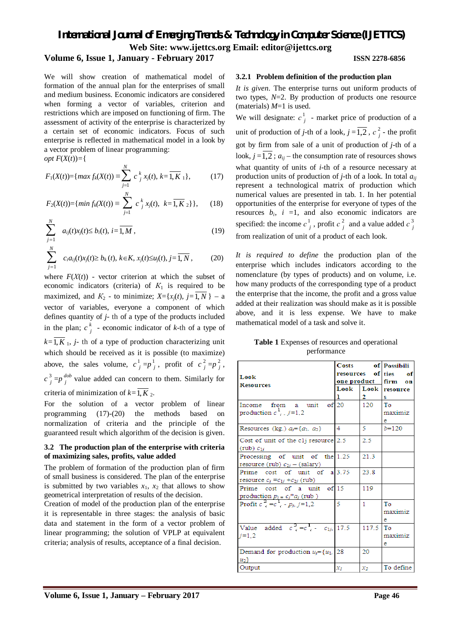## **Volume 6, Issue 1, January - February 2017 ISSN 2278-6856**

We will show creation of mathematical model of formation of the annual plan for the enterprises of small and medium business. Economic indicators are considered when forming a vector of variables, criterion and restrictions which are imposed on functioning of firm. The assessment of activity of the enterprise is characterized by a certain set of economic indicators. Focus of such enterprise is reflected in mathematical model in a look by a vector problem of linear programming:

*opt*  $F(X(t)) = \{$ 

$$
F_1(X(t)) = \{ \max f_k(X(t)) \equiv \sum_{j=1}^N c_j^k x_j(t), k = \overline{1, K}_1 \}, \quad (17)
$$

$$
F_2(X(t)) = \{ \min f_k(X(t)) \equiv \sum_{j=1}^N c_j^k x_j(t), \ k = \overline{1, K}_2 \} \}, \qquad (18)
$$

$$
\sum_{j=1}^{N} a_{ij}(t)x_{j}(t) \leq b_{i}(t), i = \overline{1, M},
$$
\n(19)

$$
\sum_{j=1}^{N} c_i a_{ij}(t) x_j(t) \ge b_k(t), \ k \in K, \ x_j(t) \le u_j(t), \ j = \overline{1, N}, \tag{20}
$$

where  $F(X(t))$  - vector criterion at which the subset of economic indicators (criteria) of  $K_1$  is required to be maximized, and  $K_2$  - to minimize;  $X = \{x_i(t), i = \overline{1, N}\}$  – a vector of variables, everyone a component of which defines quantity of *j*- th of a type of the products included in the plan;  $c \frac{k}{l}$  $\frac{1}{i}$  - economic indicator of *k*-th of a type of  $k=\overline{1,K}$ , *j*- th of a type of production characterizing unit which should be received as it is possible (to maximize) above, the sales volume,  $c^1$  $j = p_j^1$  $\frac{1}{j}$ , profit of  $c_j^2$  $\frac{2}{j} = p^2$ *j* ,  $c^3$  $\frac{3}{j}$  = *p*<sup> $\frac{d\phi}{j}$ </sup>  $j^{\text{loop}}$  value added can concern to them. Similarly for criteria of minimization of  $k=\overline{1,K}$  2.

For the solution of a vector problem of linear programming (17)-(20) the methods based on normalization of criteria and the principle of the guaranteed result which algorithm of the decision is given.

### **3.2 The production plan of the enterprise with criteria of maximizing sales, profits, value added**

The problem of formation of the production plan of firm of small business is considered. The plan of the enterprise is submitted by two variables  $x_1$ ,  $x_2$  that allows to show geometrical interpretation of results of the decision.

Creation of model of the production plan of the enterprise it is representable in three stages: the analysis of basic data and statement in the form of a vector problem of linear programming; the solution of VPLP at equivalent criteria; analysis of results, acceptance of a final decision.

### **3.2.1 Problem definition of the production plan**

*It is given*. The enterprise turns out uniform products of two types,  $N=2$ . By production of products one resource (materials) *M*=1 is used.

We will designate:  $c^1$ *j* - market price of production of a unit of production of *j*-th of a look,  $j = 1,2, c<sub>i</sub>$  $\frac{2}{i}$  - the profit got by firm from sale of a unit of production of *j*-th of a look,  $j = 1,2$ ;  $a_{ij}$  – the consumption rate of resources shows what quantity of units of *i*-th of a resource necessary at production units of production of *j*-th of a look. In total *aij* represent a technological matrix of production which numerical values are presented in tab. 1. In her potential opportunities of the enterprise for everyone of types of the resources  $b_i$ ,  $i =1$ , and also economic indicators are specified: the income  $c^1$ *j* , profit *с* 2  $\int_a^2$  and a value added *c*<sup>3</sup> *j* from realization of unit of a product of each look.

*It is required to define* the production plan of the enterprise which includes indicators according to the nomenclature (by types of products) and on volume, i.e. how many products of the corresponding type of a product the enterprise that the income, the profit and a gross value added at their realization was should make as it is possible above, and it is less expense. We have to make mathematical model of a task and solve it.

|  |             | <b>Table 1</b> Expenses of resources and operational |
|--|-------------|------------------------------------------------------|
|  | performance |                                                      |

|                                           | Costs                |       | of Possibili        |
|-------------------------------------------|----------------------|-------|---------------------|
| Look                                      | resources of ties of |       |                     |
| <b>Resources</b>                          |                      |       | one product firm on |
|                                           | Look                 |       | Look resource       |
|                                           | ı                    | 2     | s                   |
| Income from a unit of 20                  |                      | 120   | Тo                  |
| production $c^1$ , $j=1,2$                |                      |       | maximiz             |
|                                           |                      |       | e                   |
| Resources (kg.) $a_i = \{a_1, a_2\}$      | 4                    | 5.    | $b = 120$           |
| Cost of unit of the c1j resource $2.5$    |                      | 2.5   |                     |
| (rub) $c_{1i}$                            |                      |       |                     |
| Processing of unit of the 1.25            |                      | 21.3  |                     |
| resource (rub) $c_{2i}$ – (salary)        |                      |       |                     |
| Prime cost of unit of $a 3.75$            |                      | 23.8  |                     |
| resource $c_i = c_{1i} + c_{2i}$ (rub)    |                      |       |                     |
| Prime cost of a unit of 15                |                      | 119   |                     |
| production $p_i = c_j * a_j$ (rub)        |                      |       |                     |
| Profit $c^2 = c^1 - p_i$ , j=1,2          | 5                    | 1.    | To                  |
|                                           |                      |       | maximiz             |
|                                           |                      |       | е                   |
| Value added $c^3 = c^1 - c_{1i}$ , 17.5   |                      | 117.5 | <b>To</b>           |
| $i=1.2$                                   |                      |       | maximiz             |
|                                           |                      |       | e                   |
| Demand for production $u_i = \{u_1, 28\}$ |                      | 20    |                     |
| $ u_2\rangle$                             |                      |       |                     |
| Output                                    | $x_I$                | $x_2$ | To define           |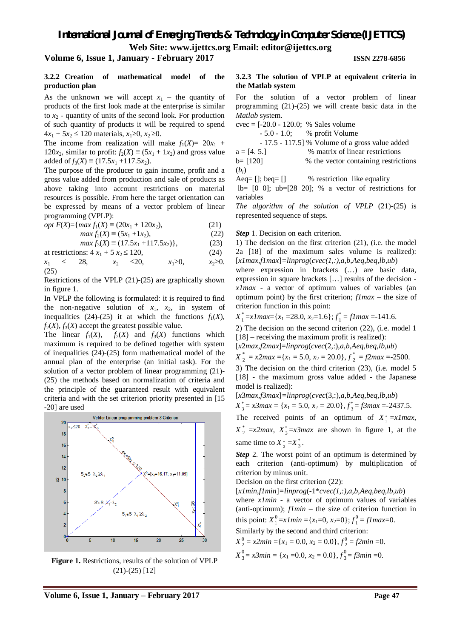**Web Site: www.ijettcs.org Email: editor@ijettcs.org** 

## **Volume 6, Issue 1, January - February 2017 ISSN 2278-6856**

### **3.2.2 Creation of mathematical model of the production plan**

As the unknown we will accept  $x_1$  – the quantity of products of the first look made at the enterprise is similar to  $x_2$  - quantity of units of the second look. For production of such quantity of products it will be required to spend  $4x_1 + 5x_2 \le 120$  materials,  $x_1 \ge 0$ ,  $x_2 \ge 0$ .

The income from realization will make  $f_1(X) = 20x_1 +$ 120 $x_2$ , similar to profit:  $f_2(X) \equiv (5x_1 + 1x_2)$  and gross value added of  $f_3(X) \equiv (17.5x_1 + 117.5x_2)$ .

The purpose of the producer to gain income, profit and a gross value added from production and sale of products as above taking into account restrictions on material resources is possible. From here the target orientation can be expressed by means of a vector problem of linear programming (VPLP):

$$
opt F(X) = \{ \max f_1(X) \equiv (20x_1 + 120x_2), \tag{21}
$$

$$
max f_2(X) \equiv (5x_1 + 1x_2), \tag{22}
$$

 $max f_3(X) \equiv (17.5x_1 + 117.5x_2)$ , (23)

at restrictions:  $4x_1 + 5x_2 \le 120$ , (24)

 $x_1 \leq 28$ ,  $x_2 \leq 20$ ,  $x_1 \geq 0$ ,  $x_2 \geq 0$ . (25)

Restrictions of the VPLP (21)-(25) are graphically shown in figure 1.

In VPLP the following is formulated: it is required to find the non-negative solution of  $x_1$ ,  $x_2$ , in system of inequalities (24)-(25) it at which the functions  $f_1(X)$ ,  $f_2(X)$ ,  $f_3(X)$  accept the greatest possible value.

The linear  $f_1(X)$ ,  $f_2(X)$  and  $f_3(X)$  functions which maximum is required to be defined together with system of inequalities (24)-(25) form mathematical model of the annual plan of the enterprise (an initial task). For the solution of a vector problem of linear programming (21)- (25) the methods based on normalization of criteria and the principle of the guaranteed result with equivalent criteria and with the set criterion priority presented in [15 -20] are used



**Figure 1.** Restrictions, results of the solution of VPLP (21)-(25) [12]

### **3.2.3 The solution of VPLP at equivalent criteria in the Matlab system**

For the solution of a vector problem of linear programming (21)-(25) we will create basic data in the *Matlab* system.

cvec = [-20.0 - 120.0; % Sales volume

- 5.0 - 1.0; % profit Volume

 - 17.5 - 117.5] % Volume of a gross value added  $a = [4, 5.]$  % matrix of linear restrictions

$$
b = [120]
$$
\n
$$
b = [120]
$$
\n
$$
b = [120]
$$
\n
$$
a = 0.51
$$
\n
$$
b = 0.51
$$
\n
$$
b = 0.51
$$
\n
$$
b = 0.51
$$
\n
$$
c = 0.51
$$
\n
$$
d = 0.51
$$
\n
$$
d = 0.51
$$
\n
$$
d = 0.51
$$
\n
$$
d = 0.51
$$
\n
$$
e = 0.51
$$
\n
$$
f = 0.51
$$
\n
$$
g = 0.51
$$
\n
$$
h = 0.51
$$
\n
$$
i = 0.51
$$
\n
$$
i = 0.51
$$
\n
$$
i = 0.51
$$
\n
$$
i = 0.51
$$
\n
$$
i = 0.51
$$
\n
$$
i = 0.51
$$
\n
$$
i = 0.51
$$
\n
$$
i = 0.51
$$
\n
$$
i = 0.51
$$
\n
$$
i = 0.51
$$
\n
$$
i = 0.51
$$
\n
$$
i = 0.51
$$
\n
$$
i = 0.51
$$
\n
$$
i = 0.51
$$
\n
$$
i = 0.51
$$
\n
$$
i = 0.51
$$
\n
$$
i = 0.51
$$
\n
$$
i = 0.51
$$
\n
$$
i = 0.51
$$
\n
$$
i = 0.51
$$
\n
$$
i = 0.51
$$
\n
$$
i = 0.51
$$
\n
$$
i = 0.51
$$
\n
$$
i = 0.51
$$
\n
$$
i = 0.51
$$
\n
$$
i = 0.51
$$
\n
$$
i = 0.51
$$
\n
$$
i = 0.51
$$
\n
$$
i = 0.51
$$
\n $$ 

Aeq= []; beq= [] % restriction like equality

lb= [0 0]; ub=[28 20]; % a vector of restrictions for variables

*The algorithm of the solution of VPLP* (21)-(25) is represented sequence of steps.

*Step* 1. Decision on each criterion.

1) The decision on the first criterion (21), (i.e. the model 2a [18] of the maximum sales volume is realized): [*x1max,f1max*]*=linprog*(*cvec(1,:),a,b,Aeq,beq,lb,ub*)

where expression in brackets (…) are basic data, expression in square brackets [...] results of the decision *x1max* - a vector of optimum values of variables (an optimum point) by the first criterion; *f1max* – the size of criterion function in this point:

 $X_1^* = x1$  *max* = { $x_1$  = 28.0,  $x_2$  = 1.6};  $f_1^* = f1$  *max* = -141.6.

2) The decision on the second criterion (22), (i.e. model 1 [18] – receiving the maximum profit is realized):

[*x*2*max*,*f*2*max*]=*linprog*(*cvec*(2,:),*a*,*b*,*Aeq*,*beq*,*lb,ub*)

 $X_{2}^{*} = x2max = \{x_1 = 5.0, x_2 = 20.0\}, f_{2}^{*} = f2max = -2500.$ 

3) The decision on the third criterion (23), (i.e. model 5 [18] - the maximum gross value added - the Japanese model is realized):

[*x*3*max*,*f*3*max*]*=linprog*(*cvec*(3,:),*a*,*b*,*Aeq*,*beq*,*lb*,*ub*)

 $X_3^* = x3max = \{x_1 = 5.0, x_2 = 20.0\}, f_3^* = f3max = -2437.5.$ 

The received points of an optimum of  $X_i^* = x1$  *max*,

 $X_2^* = x2max$ ,  $X_3^* = x3max$  are shown in figure 1, at the same time to  $X^*_{2} = X^*_{3}$ .

*Step* 2. The worst point of an optimum is determined by each criterion (anti-optimum) by multiplication of criterion by minus unit.

Decision on the first criterion (22):

[*x1min,f1min*]*=linprog*(-1\**cvec(1,:),a,b,Aeq,beq,lb,ub*) where *x1min* - a vector of optimum values of variables (anti-optimum); *f1min* – the size of criterion function in this point:  $X_1^0 = xImin = \{x_1=0, x_2=0\}; f_1^0 = fImax = 0.$ 

Similarly by the second and third criterion:

 $X_2^0 = x2min = \{x_1 = 0.0, x_2 = 0.0\}, f_2^0 = f2min = 0.$  $X^0_3$  $\frac{0}{3}$  = *x*3*min* = {*x*<sub>1</sub> = 0.0, *x*<sub>2</sub> = 0.0}, *f*<sup>0</sup><sub>3</sub>  $j_{3}^{0} = f3min = 0.$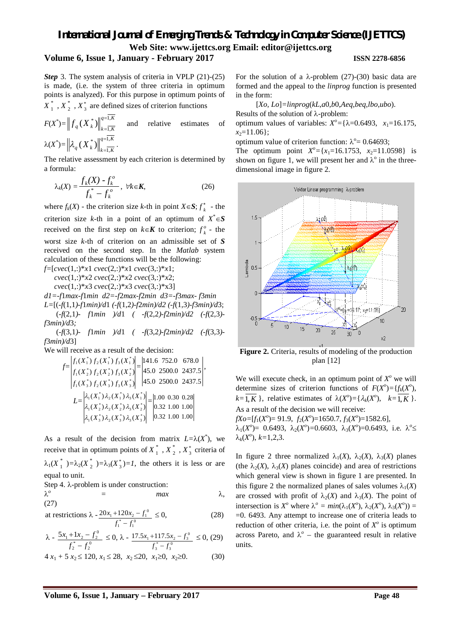## **Volume 6, Issue 1, January - February 2017 ISSN 2278-6856**

## *Step* 3. The system analysis of criteria in VPLP (21)-(25) is made, (i.e. the system of three criteria in optimum points is analyzed). For this purpose in optimum points of

 $X_1^*$ ,  $X_2^*$ ,  $X_3^*$  are defined sizes of criterion functions

$$
F(X^*) = \|f_q(X_k^*)\|_{k=\overline{1,K}}^{q=1,K} \quad \text{and} \quad \text{relative estimates} \quad \text{of}
$$

$$
\lambda(X^*) = \left\|\lambda_q(X_k^*)\right\|_{k=\overline{1,K}}^{q=1,K}.
$$

The relative assessment by each criterion is determined by a formula:

$$
\lambda_k(X) = \frac{f_k(X) - f_k^o}{f_k^* - f_k^o}, \ \forall k \in K,
$$
\n(26)

where  $f_k(X)$  - the criterion size *k*-th in point  $X \in S$ ;  $f_k^*$  - the criterion size *k*-th in a point of an optimum of  $X^* \in S$ received on the first step on  $k \in K$  to criterion;  $f_k^o$  - the worst size *k*-th of criterion on an admissible set of *S* received on the second step. In the *Matlab* system calculation of these functions will be the following:

*f=*[*cvec*(1,:)\**x*1 *cvec*(2,:)\**x*1 *cvec*(3,:)\**x*1;  *cvec*(1,:)\**x*2 *cvec*(2,:)\**x*2 *cvec*(3,:)\**x*2;

 *cvec*(1,:)\**x*3 *cvec*(2,:)\**x*3 *cvec*(3,:)\*x3]

*d1=-f*1*max-f*1*min d2=-f*2*max-f*2*min d3=-f*3*max- f*3*min L=*[(*-f*(1,1*)-f*1*min)/d*1 *(-f*(1,2*)-f*2*min)/d2 (-f*(1,3*)-f*3*min)/d*3;

(*-f*(2,1*)- f*1*min )/d*1 *( -f*(2,2*)-f*2*min)/d2 (-f*(2,3*) f*3*min)/d*3*;* 

(*-f*(3,1*)- f*1*min )/d*1 *( -f*(3,2*)-f*2*min)/d2 (-f*(3,3*) f*3*min)/d*3]

We will receive as a result of the decision:

$$
f=\begin{vmatrix} f_1(X_1^*) f_2(X_1^*) f_3(X_1^*) \\ f_1(X_2^*) f_2(X_2^*) f_3(X_2^*) \\ f_1(X_3^*) f_2(X_3^*) f_3(X_3^*) \end{vmatrix}=\begin{vmatrix} 141.6 & 752.0 & 678.0 \\ 45.0 & 2500.0 & 2437.5 \\ 45.0 & 2500.0 & 2437.5 \end{vmatrix},
$$
  
\n
$$
L=\begin{vmatrix} \lambda_1(X_1^*) \lambda_2(X_1^*) \lambda_3(X_1^*) \\ \lambda_1(X_2^*) \lambda_2(X_2^*) \lambda_3(X_2^*) \\ \lambda_1(X_3^*) \lambda_2(X_3^*) \lambda_3(X_3^*) \end{vmatrix}=\begin{vmatrix} 1.00 & 0.30 & 0.28 \\ 0.32 & 1.00 & 1.00 \\ 0.32 & 1.00 & 1.00 \end{vmatrix}
$$

As a result of the decision from matrix  $L = \lambda(X^*)$ , we receive that in optimum points of  $X^*_{1}$ ,  $X^*_{2}$ ,  $X^*_{3}$  criteria of  $\lambda_1(X_1^*) = \lambda_2(X_2^*) = \lambda_3(X_3^*) = I$ , the others it is less or are equal to unit.

Step 4.  $\lambda$ -problem is under construction:

$$
\lambda^o = \max \qquad \qquad \lambda,
$$
\n(27)

at restrictions 
$$
\lambda - \frac{20x_1 + 120x_2 - f_1^0}{f_1^* - f_1^0} \le 0,
$$
 (28)

$$
\lambda - \frac{5x_1 + 1x_2 - f_2^0}{f_2^* - f_2^0} \le 0, \lambda - \frac{17.5x_1 + 117.5x_2 - f_3^0}{f_3^* - f_3^0} \le 0, (29)
$$

$$
4 x_1 + 5 x_2 \le 120, x_1 \le 28, x_2 \le 20, x_1 \ge 0, x_2 \ge 0. \tag{30}
$$

For the solution of a  $\lambda$ -problem (27)-(30) basic data are formed and the appeal to the *linprog* function is presented in the form:

[*Xo, Lo*]*=linprog*(*kL*,*a*0,*b*0,*Aeq*,*beq*,*lbo*,*ubo*).

Results of the solution of  $\lambda$ -problem:

optimum values of variables:  $X^{\circ} = \{\lambda = 0.6493, x_1 = 16.175,$  $x_2$ =11.06};

optimum value of criterion function:  $\lambda^{\circ} = 0.64693$ ;

The optimum point  $X^{\circ} = \{x_1 = 16.1753, x_2 = 11.0598\}$  is shown on figure 1, we will present her and  $\lambda^{\circ}$  in the threedimensional image in figure 2.



**Figure 2.** Criteria, results of modeling of the production plan [12]

We will execute check, in an optimum point of  $X^{\circ}$  we will determine sizes of criterion functions of  $F(X^o) = \{f_k(X^o),$  $k = \overline{1, K}$ , relative estimates of  $\lambda(X^o) = {\lambda_k(X^o)}$ ,  $k = \overline{1, K}$ . As a result of the decision we will receive:  $fXo = [f_1(X^o) = 91.9, f_2(X^o) = 1650.7, f_3(X^o) = 1582.6],$  $\lambda_1(X^{\circ}) = 0.6493, \lambda_2(X^{\circ}) = 0.6603, \lambda_3(X^{\circ}) = 0.6493, \text{ i.e. } \lambda^{\circ} \leq$  $\lambda_k(X^o), k=1,2,3.$ 

In figure 2 three normalized  $\lambda_1(X)$ ,  $\lambda_2(X)$ ,  $\lambda_3(X)$  planes (the  $\lambda_2(X)$ ,  $\lambda_3(X)$  planes coincide) and area of restrictions which general view is shown in figure 1 are presented. In this figure 2 the normalized planes of sales volumes  $\lambda_1(X)$ are crossed with profit of  $\lambda_2(X)$  and  $\lambda_3(X)$ . The point of intersection is  $X^{\circ}$  where  $\lambda^{\circ} = min(\lambda_1(X^{\circ}), \lambda_2(X^{\circ}), \lambda_3(X^{\circ})) =$ =0. 6493. Any attempt to increase one of criteria leads to reduction of other criteria, i.e. the point of  $X^{\circ}$  is optimum across Pareto, and  $\lambda^{\circ}$  – the guaranteed result in relative units.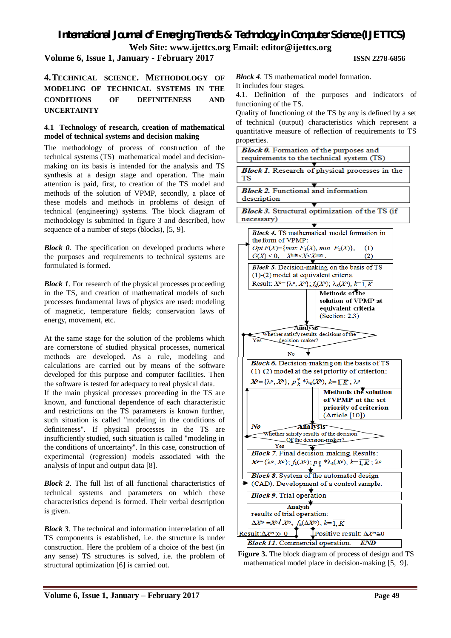**Volume 6, Issue 1, January - February 2017 ISSN 2278-6856**

## **4.TECHNICAL SCIENCE. METHODOLOGY OF MODELING OF TECHNICAL SYSTEMS IN THE CONDITIONS OF DEFINITENESS AND UNCERTAINTY**

## **4.1 Technology of research, creation of mathematical model of technical systems and decision making**

The methodology of process of construction of the technical systems (TS) mathematical model and decisionmaking on its basis is intended for the analysis and TS synthesis at a design stage and operation. The main attention is paid, first, to creation of the TS model and methods of the solution of VPMP, secondly, a place of these models and methods in problems of design of technical (engineering) systems. The block diagram of methodology is submitted in figure 3 and described, how sequence of a number of steps (blocks), [5, 9].

*Block 0*. The specification on developed products where the purposes and requirements to technical systems are formulated is formed.

*Block 1*. For research of the physical processes proceeding in the TS, and creation of mathematical models of such processes fundamental laws of physics are used: modeling of magnetic, temperature fields; conservation laws of energy, movement, etc.

At the same stage for the solution of the problems which are cornerstone of studied physical processes, numerical methods are developed. As a rule, modeling and calculations are carried out by means of the software developed for this purpose and computer facilities. Then the software is tested for adequacy to real physical data.

If the main physical processes proceeding in the TS are known, and functional dependence of each characteristic and restrictions on the TS parameters is known further, such situation is called "modeling in the conditions of definiteness". If physical processes in the TS are insufficiently studied, such situation is called "modeling in the conditions of uncertainty". In this case, construction of experimental (regression) models associated with the analysis of input and output data [8].

*Block 2*. The full list of all functional characteristics of technical systems and parameters on which these characteristics depend is formed. Their verbal description is given.

*Block 3*. The technical and information interrelation of all TS components is established, i.e. the structure is under construction. Here the problem of a choice of the best (in any sense) TS structures is solved, i.e. the problem of structural optimization [6] is carried out.

*Block 4*. TS mathematical model formation.

It includes four stages.

4.1. Definition of the purposes and indicators of functioning of the TS.

Quality of functioning of the TS by any is defined by a set of technical (output) characteristics which represent a quantitative measure of reflection of requirements to TS



**Figure 3.** The block diagram of process of design and TS mathematical model place in decision-making [5, 9].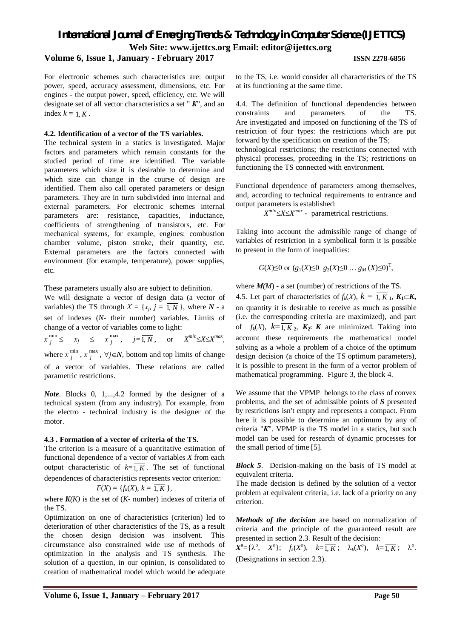**Volume 6, Issue 1, January - February 2017 ISSN 2278-6856**

For electronic schemes such characteristics are: output power, speed, accuracy assessment, dimensions, etc. For engines - the output power, speed, efficiency, etc. We will designate set of all vector characteristics a set " *К*", and an index  $k = \overline{1, K}$ .

### **4.2. Identification of a vector of the TS variables.**

The technical system in a statics is investigated. Major factors and parameters which remain constants for the studied period of time are identified. The variable parameters which size it is desirable to determine and which size can change in the course of design are identified. Them also call operated parameters or design parameters. They are in turn subdivided into internal and external parameters. For electronic schemes internal parameters are: resistance, capacities, inductance, coefficients of strengthening of transistors, etc. For mechanical systems, for example, engines: combustion chamber volume, piston stroke, their quantity, etc. External parameters are the factors connected with environment (for example, temperature), power supplies, etc.

These parameters usually also are subject to definition.

We will designate a vector of design data (a vector of variables) the TS through  $X = \{x_j, j = 1, N\}$ , where  $N - a$ set of indexes (*N-* their number) variables. Limits of change of a vector of variables come to light:

*х* min  $\sum_{j}^{\min} \leq x_j \leq x_j^{\max}$  $j = \overline{1, N}$ , or  $X^{min} \le X \le X^{max}$ , where  $x_i^{\min}$  $\lim_{j}$ ,  $x$ <sup>max</sup>  $j$ <sup>niax</sup>,  $\forall j \in \mathbb{N}$ , bottom and top limits of change of a vector of variables. These relations are called parametric restrictions.

*Note*. Blocks 0, 1,...,4.2 formed by the designer of a technical system (from any industry). For example, from the electro - technical industry is the designer of the motor.

### **4.3 . Formation of a vector of criteria of the TS.**

The criterion is a measure of a quantitative estimation of functional dependence of a vector of variables *X* from each output characteristic of  $k=\overline{1, K}$ . The set of functional dependences of characteristics represents vector criterion:

$$
F(X) = \{f_k(X), k = 1, K\},\
$$

where  $K(K)$  is the set of  $(K-$  number) indexes of criteria of the TS.

Optimization on one of characteristics (criterion) led to deterioration of other characteristics of the TS, as a result the chosen design decision was insolvent. This circumstance also constrained wide use of methods of optimization in the analysis and TS synthesis. The solution of a question, in our opinion, is consolidated to creation of mathematical model which would be adequate

to the TS, i.e. would consider all characteristics of the TS at its functioning at the same time.

4.4. The definition of functional dependencies between constraints and parameters of the TS. Are investigated and imposed on functioning of the TS of restriction of four types: the restrictions which are put forward by the specification on creation of the TS; technological restrictions; the restrictions connected with physical processes, proceeding in the TS; restrictions on functioning the TS connected with environment.

Functional dependence of parameters among themselves, and, according to technical requirements to entrance and output parameters is established:

 $X^{min} \leq X \leq X^{max}$  - parametrical restrictions.

Taking into account the admissible range of change of variables of restriction in a symbolical form it is possible to present in the form of inequalities:

$$
G(X) \le 0
$$
 or  $(g_1(X) \le 0 \ g_2(X) \le 0 \dots \ g_M(X) \le 0)^T$ ,

where  $M(M)$  - a set (number) of restrictions of the TS. 4.5. Let part of characteristics of  $f_k(X)$ ,  $k = \overline{1, K}, K_1 \subset K$ , on quantity it is desirable to receive as much as possible (i.e. the corresponding criteria are maximized), and part of  $f_k(X)$ ,  $k=\overline{1, K_2}$ ,  $K_2\subset K$  are minimized. Taking into account these requirements the mathematical model solving as a whole a problem of a choice of the optimum design decision (a choice of the TS optimum parameters), it is possible to present in the form of a vector problem of mathematical programming. Figure 3, the block 4.

We assume that the VPMP belongs to the class of convex problems, and the set of admissible points of *S* presented by restrictions isn't empty and represents a compact. From here it is possible to determine an optimum by any of criteria "*К*". VPMP is the TS model in a statics, but such model can be used for research of dynamic processes for the small period of time [5].

*Block 5*. Decision-making on the basis of TS model at equivalent criteria.

The made decision is defined by the solution of a vector problem at equivalent criteria, i.e. lack of a priority on any criterion.

*Methods of the decision* are based on normalization of criteria and the principle of the guaranteed result are presented in section 2.3. Result of the decision:

 $X^o = {\lambda^o, X^o}; \quad f_k(X^o), \quad k = \overline{1, K}; \quad \lambda_k(X^o), \quad k = \overline{1, K}; \quad \lambda^o.$ (Designations in section 2.3).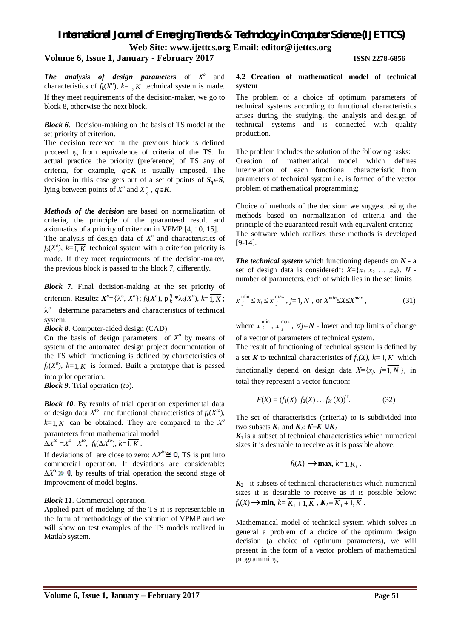### **Volume 6, Issue 1, January - February 2017 ISSN 2278-6856**

**The analysis of design parameters** of  $X^o$  and characteristics of  $f_k(X^o)$ ,  $k = \overline{1, K}$  technical system is made. If they meet requirements of the decision-maker, we go to block 8, otherwise the next block.

*Block 6*. Decision-making on the basis of TS model at the set priority of criterion.

The decision received in the previous block is defined proceeding from equivalence of criteria of the TS. In actual practice the priority (preference) of TS any of criteria, for example,  $q \in K$  is usually imposed. The decision in this case gets out of a set of points of  $S_q \in S$ , lying between points of  $X^{\circ}$  and  $X^*_{q}$ ,  $q \in K$ .

*Methods of the decision* are based on normalization of criteria, the principle of the guaranteed result and axiomatics of a priority of criterion in VPMP [4, 10, 15]. The analysis of design data of  $X^o$  and characteristics of  $f_k(X^o)$ ,  $k = \overline{1, K}$  technical system with a criterion priority is made. If they meet requirements of the decision-maker, the previous block is passed to the block 7, differently.

*Block 7*. Final decision-making at the set priority of criterion. Results:  $X^{\circ} = {\lambda^{\circ}, X^{\circ}}; f_k(X^{\circ}), p_k^q * \lambda_k(X^{\circ}), k = \overline{1, K};$  $\lambda^{\circ}$  determine parameters and characteristics of technical system.

*Block 8*. Computer-aided design (CAD).

On the basis of design parameters of  $X^{\circ}$  by means of system of the automated design project documentation of the TS which functioning is defined by characteristics of  $f_k(X^o)$ ,  $k = \overline{1, K}$  is formed. Built a prototype that is passed into pilot operation.

*Block 9*. Trial operation (*to*).

*Block 10*. By results of trial operation experimental data of design data  $X^{to}$  and functional characteristics of  $f_k(X^{to})$ ,  $k = \overline{1, K}$  can be obtained. They are compared to the  $X^{\circ}$ parameters from mathematical model

$$
\Delta X^{to} = X^{\circ} - X^{\circ}, \ f_k(\Delta X^{\circ}), \ k = \overline{1, K}.
$$

If deviations of are close to zero:  $\Delta X^{\text{to}} \cong 0$ , TS is put into commercial operation. If deviations are considerable:  $\Delta X^{\prime o} \gg 0$ , by results of trial operation the second stage of improvement of model begins.

### *Block 11*. Commercial operation.

Applied part of modeling of the TS it is representable in the form of methodology of the solution of VPMP and we will show on test examples of the TS models realized in Matlab system.

### **4.2 Creation of mathematical model of technical system**

The problem of a choice of optimum parameters of technical systems according to functional characteristics arises during the studying, the analysis and design of technical systems and is connected with quality production.

The problem includes the solution of the following tasks: Creation of mathematical model which defines interrelation of each functional characteristic from parameters of technical system i.e. is formed of the vector problem of mathematical programming;

Choice of methods of the decision: we suggest using the methods based on normalization of criteria and the principle of the guaranteed result with equivalent criteria; The software which realizes these methods is developed [9-14].

*The technical system* which functioning depends on *N* - a set of design data is considered<sup>1</sup>:  $X = \{x_1, x_2, \ldots, x_N\}, N$ number of parameters, each of which lies in the set limits

$$
x_j^{\min} \le x_j \le x_j^{\max}, j = \overline{1, N}, \text{ or } X^{\min} \le X \le X^{\max}, \tag{31}
$$

where  $x_i^{\min}$  $\lim_{j}$ ,  $x$ <sup>max</sup>  $j$ <sup>nax</sup>,  $\forall j \in \mathbb{N}$  - lower and top limits of change of a vector of parameters of technical system.

The result of functioning of technical system is defined by a set *K* to technical characteristics of  $f_k(X)$ ,  $k=1, K$  which functionally depend on design data  $X = \{x_j, j=1, N\}$ , in total they represent a vector function:

$$
F(X) = (f_1(X) f_2(X) ... f_K(X))^T.
$$
 (32)

The set of characteristics (criteria) to is subdivided into two subsets  $K_1$  and  $K_2$ :  $K=K_1 \cup K_2$ 

 $K_1$  is a subset of technical characteristics which numerical sizes it is desirable to receive as it is possible above:

$$
f_k(X) \rightarrow \max, k = \overline{1, K_1}.
$$

 $K_2$  - it subsets of technical characteristics which numerical sizes it is desirable to receive as it is possible below:  $f_k(X) \rightarrow \min, k = \overline{K_1 + 1, K}$ ,  $K_2 = \overline{K_1 + 1, K}$ .

Mathematical model of technical system which solves in general a problem of a choice of the optimum design decision (a choice of optimum parameters), we will present in the form of a vector problem of mathematical programming.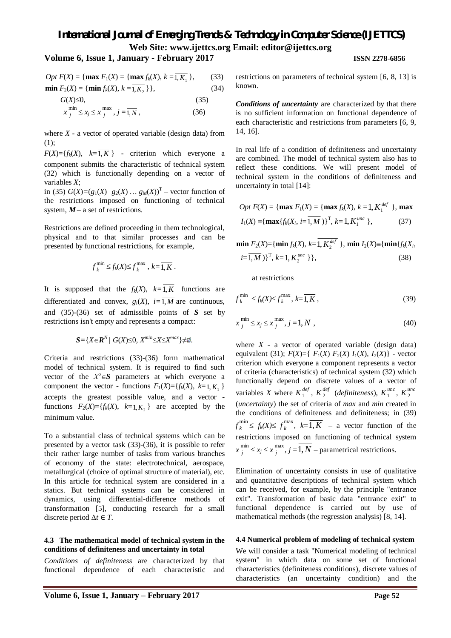## **Volume 6, Issue 1, January - February 2017 ISSN 2278-6856**

$$
Opt F(X) = \{ \max F_1(X) = \{ \max f_k(X), k = \overline{1, K_1} \}, \qquad (33)
$$
  

$$
\min F_2(X) = \{ \min f_k(X), k = \overline{1, K_2} \} \}, \qquad (34)
$$

$$
G(X) \le 0,\tag{35}
$$

$$
x_j^{\min} \le x_j \le x_j^{\max}, j = \overline{1, N}, \qquad (36)
$$

where  $X$  - a vector of operated variable (design data) from (1);

 $F(X) = \{f_k(X), k = 1, K\}$  - criterion which everyone a component submits the characteristic of technical system (32) which is functionally depending on a vector of variables *X*;

in (35)  $G(X) = (g_1(X) \ g_2(X) \ ... \ g_M(X))^T$  – vector function of the restrictions imposed on functioning of technical system,  $M - a$  set of restrictions.

Restrictions are defined proceeding in them technological, physical and to that similar processes and can be presented by functional restrictions, for example,

$$
f_k^{\min} \le f_k(X) \le f_k^{\max}, k = \overline{1, K}.
$$

It is supposed that the  $f_k(X)$ ,  $k=\overline{1,K}$  functions are differentiated and convex,  $g_i(X)$ ,  $i = \overline{1, M}$  are continuous, and (35)-(36) set of admissible points of *S* set by restrictions isn't empty and represents a compact:

$$
S = \{ X \in \mathbb{R}^N / G(X) \leq 0, X^{min} \leq X \leq X^{max} \} \neq \emptyset.
$$

Criteria and restrictions (33)-(36) form mathematical model of technical system. It is required to find such vector of the  $X^{\circ} \in S$  parameters at which everyone a component the vector - functions  $F_1(X) = \{f_k(X), k = 1, K_1\}$ accepts the greatest possible value, and a vector functions  $F_2(X) = \{f_k(X), k = \overline{1, K_2}\}\$  are accepted by the minimum value.

To a substantial class of technical systems which can be presented by a vector task (33)-(36), it is possible to refer their rather large number of tasks from various branches of economy of the state: electrotechnical, aerospace, metallurgical (choice of optimal structure of material), etc. In this article for technical system are considered in a statics. But technical systems can be considered in dynamics, using differential-difference methods of transformation [5], conducting research for a small discrete period Δ*t* ∈ *T*.

### **4.3 The mathematical model of technical system in the conditions of definiteness and uncertainty in total**

*Conditions of definiteness* are characterized by that functional dependence of each characteristic and restrictions on parameters of technical system [6, 8, 13] is known.

*Conditions of uncertainty* are characterized by that there is no sufficient information on functional dependence of each characteristic and restrictions from parameters [6, 9, 14, 16].

In real life of a condition of definiteness and uncertainty are combined. The model of technical system also has to reflect these conditions. We will present model of technical system in the conditions of definiteness and uncertainty in total [14]:

$$
Opt F(X) = \{ \max F_1(X) = \{ \max f_k(X), k = 1, K_1^{def} \}, \max I_1(X) = \{ \max \{ f_k(X_i, i = 1, M) \}^T, k = 1, K_1^{unc} \},
$$
(37)

$$
\min F_2(X) = \{ \min f_k(X), k = 1, K_2^{def} \}, \min I_2(X) = \{ \min \{ f_k(X_i, k = 1, M) \}^T, k = 1, K_2^{unc} \} \},
$$
\n(38)

at restrictions

$$
f_k^{\min} \le f_k(X) \le f_k^{\max}, k = \overline{1, K}, \qquad (39)
$$

$$
x_j^{\min} \le x_j \le x_j^{\max}, j = \overline{1, N}, \qquad (40)
$$

where  $X$  - a vector of operated variable (design data) equivalent (31);  $F(X) = \{ F_1(X) F_2(X) I_1(X), I_2(X) \}$  - vector criterion which everyone a component represents a vector of criteria (characteristics) of technical system (32) which functionally depend on discrete values of a vector of variables *X* where  $K_1^{def}$  $\frac{def}{1}$ ,  $K_2^{def}$ 2 (*definiteness*), *K unc*  $\frac{unc}{1}$ ,  $K_2^{unc}$ 2 (*uncertainty*) the set of criteria of *max* and *min* created in the conditions of definiteness and definiteness; in (39)  $f_k^{\min}$  $f_k^{\min} \leq f_k(X) \leq f_k^{\max}$  $\binom{n}{k}$ ,  $k=1, K$  – a vector function of the restrictions imposed on functioning of technical system  $x_i^{\min}$  $\lim_{j}$   $\leq$   $x_j$   $\leq$   $x \frac{\text{max}}{j}$  $j$ ,  $j = 1, N$  – parametrical restrictions.

Elimination of uncertainty consists in use of qualitative and quantitative descriptions of technical system which can be received, for example, by the principle "entrance exit". Transformation of basic data "entrance exit" to functional dependence is carried out by use of mathematical methods (the regression analysis) [8, 14].

### **4.4 Numerical problem of modeling of technical system**

We will consider a task "Numerical modeling of technical system" in which data on some set of functional characteristics (definiteness conditions), discrete values of characteristics (an uncertainty condition) and the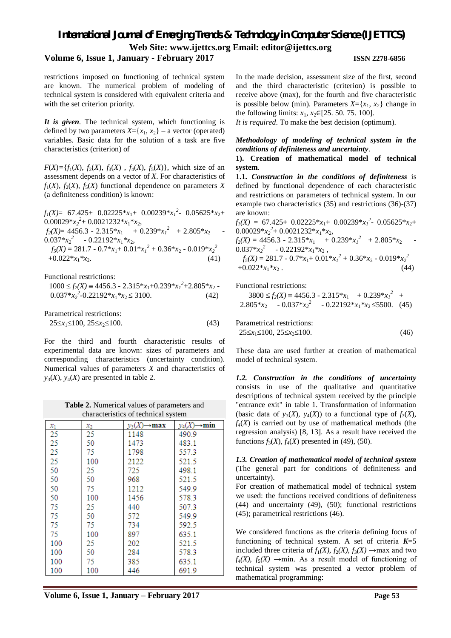## **Volume 6, Issue 1, January - February 2017 ISSN 2278-6856**

restrictions imposed on functioning of technical system are known. The numerical problem of modeling of technical system is considered with equivalent criteria and with the set criterion priority.

*It is given*. The technical system, which functioning is defined by two parameters  $X = \{x_1, x_2\}$  – a vector (operated) variables. Basic data for the solution of a task are five characteristics (criterion) of

 $F(X) = \{f_1(X), f_2(X), f_3(X), f_4(X), f_5(X)\}$ , which size of an assessment depends on a vector of *X*. For characteristics of  $f_1(X)$ ,  $f_2(X)$ ,  $f_5(X)$  functional dependence on parameters *X* (a definiteness condition) is known:

 $f_I(X) = 67.425 + 0.02225 * x_1 + 0.00239 * x_1^2 - 0.05625 * x_2 +$  $0.00029 * x_2^2 + 0.0021232 * x_1 * x_2$  $f_2(X) = 4456.3 - 2.315 \cdot x_1 + 0.239 \cdot x_1^2 + 2.805 \cdot x_2$ 0.037\* $x_2^2$  - 0.22192\* $x_1$ \* $x_2$ ,  $f_5(X) = 281.7 - 0.7 \times x_1 + 0.01 \times x_1^2 + 0.36 \times x_2 - 0.019 \times x_2^2$  $+0.022 \cdot x_1 \cdot x_2.$  (41)

Functional restrictions:

$$
1000 \le f_2(X) = 4456.3 - 2.315 \cdot x_1 + 0.239 \cdot x_1^2 + 2.805 \cdot x_2 - 0.037 \cdot x_2^2 - 0.22192 \cdot x_1 \cdot x_2 \le 3100. \tag{42}
$$

Parametrical restrictions:  $25 \le x_1 \le 100, 25 \le x_2 \le 100.$  (43)

For the third and fourth characteristic results of experimental data are known: sizes of parameters and corresponding characteristics (uncertainty condition). Numerical values of parameters *X* and characteristics of  $y_3(X)$ ,  $y_4(X)$  are presented in table 2.

**Table 2.** Numerical values of parameters and characteristics of technical system

| xı  | $x_2$ | $y_3(X) \rightarrow \mathbf{max}$ | $y_4(X) \rightarrow min$ |  |  |  |
|-----|-------|-----------------------------------|--------------------------|--|--|--|
| 25  | 25    | 1148                              | 490.9                    |  |  |  |
| 25  | 50    | 1473                              | 483.1                    |  |  |  |
| 25  | 75    | 1798                              | 557.3                    |  |  |  |
| 25  | 100   | 2122                              | 521.5                    |  |  |  |
| 50  | 25    | 725                               | 498.1                    |  |  |  |
| 50  | 50    | 968                               | 521.5                    |  |  |  |
| 50  | 75    | 1212                              | 549.9                    |  |  |  |
| 50  | 100   | 1456                              | 578.3                    |  |  |  |
| 75  | 25    | 440                               | 507.3                    |  |  |  |
| 75  | 50    | 572                               | 549.9                    |  |  |  |
| 75  | 75    | 734                               | 592.5                    |  |  |  |
| 75  | 100   | 897                               | 635.1                    |  |  |  |
| 100 | 25    | 202                               | 521.5                    |  |  |  |
| 100 | 50    | 284                               | 578.3                    |  |  |  |
| 100 | 75    | 385                               | 635.1                    |  |  |  |
| 100 | 100   | 446                               | 691.9                    |  |  |  |

In the made decision, assessment size of the first, second and the third characteristic (criterion) is possible to receive above (max), for the fourth and five characteristic is possible below (min). Parameters  $X = \{x_1, x_2\}$  change in the following limits:  $x_1, x_2 \in [25, 50, 75, 100]$ .

*It is required*. To make the best decision (optimum).

## *Methodology of modeling of technical system in the conditions of definiteness and uncertainty*.

### **1). Creation of mathematical model of technical system**.

**1.1.** *Construction in the conditions of definiteness* is defined by functional dependence of each characteristic and restrictions on parameters of technical system. In our example two characteristics (35) and restrictions (36)-(37) are known:

 $f_I(X) = 67.425 + 0.02225 * x_1 + 0.00239 * x_1^2 - 0.05625 * x_2 +$  $0.00029 \times x_2^2 + 0.0021232 \times x_1 \times x_2$  $f_2(X) = 4456.3 - 2.315 \cdot x_1 + 0.239 \cdot x_1^2 + 2.805 \cdot x_2$  $0.037 * x_2^2$  -  $0.22192 * x_1 * x_2$ , *2 2*

$$
f_5(X) = 281.7 - 0.7 \times x_1 + 0.01 \times x_1^2 + 0.36 \times x_2 - 0.019 \times x_2^2
$$
  
+0.022 \* x<sub>1</sub> \* x<sub>2</sub>. (44)

Functional restrictions:

 $3800 \le f_2(X) = 4456.3 - 2.315 \cdot x_1 + 0.239 \cdot x_1^2$ 2.805\* $x_2$  - 0.037\* $x_2$ <sup>2</sup> - 0.22192\* $x_1$ \* $x_2 \le 5500$ . (45)

Parametrical restrictions:  $25\leq x_1 \leq 100, 25\leq x_2 \leq 100.$  (46)

These data are used further at creation of mathematical model of technical system.

*1.2. Construction in the conditions of uncertainty* consists in use of the qualitative and quantitative descriptions of technical system received by the principle "entrance exit" in table 1. Transformation of information (basic data of  $y_3(X)$ ,  $y_4(X)$ ) to a functional type of  $f_3(X)$ ,  $f_4(X)$  is carried out by use of mathematical methods (the regression analysis) [8, 13]. As a result have received the functions  $f_3(X)$ ,  $f_4(X)$  presented in (49), (50).

*1.3. Creation of mathematical model of technical system* (The general part for conditions of definiteness and uncertainty).

For creation of mathematical model of technical system we used: the functions received conditions of definiteness (44) and uncertainty (49), (50); functional restrictions (45); parametrical restrictions (46).

We considered functions as the criteria defining focus of functioning of technical system. A set of criteria  $K=5$ included three criteria of  $f_1(X)$ ,  $f_2(X)$ ,  $f_3(X) \rightarrow \text{max}$  and two  $f_4(X)$ ,  $f_5(X) \rightarrow \min$ . As a result model of functioning of technical system was presented a vector problem of mathematical programming: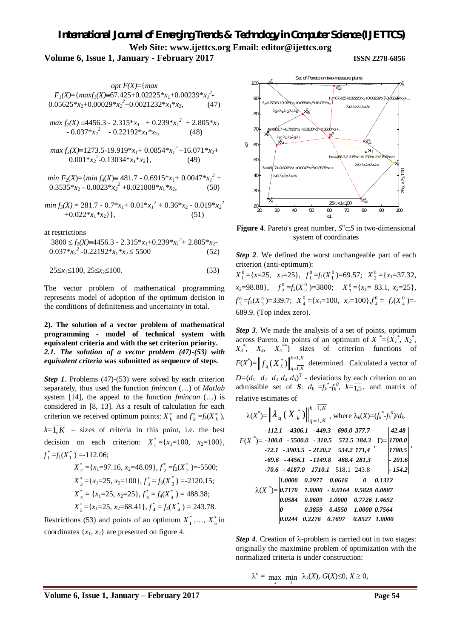## *International Journal of Emerging Trends & Technology in Computer Science (IJETTCS)* **Web Site: www.ijettcs.org Email: editor@ijettcs.org Volume 6, Issue 1, January - February 2017 ISSN 2278-6856**

*opt F(X)*={*max*   $F_I(X) = \{maxf_I(X) \equiv 67.425 + 0.02225 * x_1 + 0.00239 * x_1^2\}$  $0.05625 * x_2 + 0.00029 * x_2^2 + 0.0021232 * x_1 * x_2,$  (47)  $max f_2(X) = 4456.3 - 2.315*x_1 + 0.239*x_1^2 + 2.805*x_2$  $-0.037 * x_2^2 - 0.22192 * x_1 * x_2,$  (48) *max f3(X)*1273.5-19.919\**x*1+ 0.0854\**x<sup>1</sup> <sup>2</sup>*+16.071\**x*2+ 0.001\* $x_2^2$ -0.13034\* $x_1$ \* $x_2$ }, (49) *min*  $F_2(X) = \{min f_4(X) \equiv 481.7 - 0.6915 * x_1 + 0.0047 * x_1^2 + ... \}$  $0.3535 * x_2 - 0.0023 * x_2^2 + 0.021808 * x_1 * x_2,$  (50) *min*  $f_5(X) = 281.7 - 0.7 \times x_1 + 0.01 \times x_1^2 + 0.36 \times x_2 - 0.019 \times x_2^2$  $+0.022 * x_1 * x_2$  }, (51)

at restrictions

$$
3800 \le f_2(X) = 4456.3 - 2.315 \cdot x_1 + 0.239 \cdot x_1^2 + 2.805 \cdot x_2 - 0.037 \cdot x_2^2 - 0.22192 \cdot x_1 \cdot x_2 \le 5500
$$
 (52)

$$
25 \le x_1 \le 100, \ 25 \le x_2 \le 100. \tag{53}
$$

The vector problem of mathematical programming represents model of adoption of the optimum decision in the conditions of definiteness and uncertainty in total.

## **2). The solution of a vector problem of mathematical programming - model of technical system with equivalent criteria and with the set criterion priority.** *2.1. The solution of a vector problem (47)-(53) with equivalent criteria* **was submitted as sequence of steps**.

*Step 1*. Problems (47)-(53) were solved by each criterion separately, thus used the function *fmincon* (…) of *Matlab* system [14], the appeal to the function *fmincon* (…) is considered in [8, 13]. As a result of calculation for each criterion we received optimum points:  $X_k^*$  and  $f_k^* = f_k(X_k^*)$ ,  $k=\overline{1,K}$  – sizes of criteria in this point, i.e. the best decision on each criterion:  $X_1^* = \{x_1 = 100, x_2 = 100\},\$  $f_1^* = f_1(X_1^*) = -112.06;$  $X_2^* = \{x_1 = 97.16, x_2 = 48.09\}, f_2^* = f_2(X_2^*) = -5500;$ 

$$
X_2 = \{x_1 = 3, x_2 = 100\}, f_3 = f_3(X_3^*) = -2120.15;
$$
  
\n
$$
X_4^* = \{x_1 = 25, x_2 = 25\}, f_4^* = f_4(X_4^*) = 488.38;
$$
  
\n
$$
X_5^* = \{x_1 = 25, x_2 = 68.41\}, f_4^* = f_4(X_4^*) = 243.78.
$$

Restrictions (53) and points of an optimum  $X_1^*,..., X_5^*$  in coordinates  $\{x_1, x_2\}$  are presented on figure 4.



**Figure 4.** Pareto's great number,  $S^{\circ} \subset S$  in two-dimensional system of coordinates

*Step 2*. We defined the worst unchangeable part of each criterion (anti-optimum):

 $X_1^0 = \{x = 25, x_2 = 25\}, f_1^0 = f_1(X_1^0) = 69.57; X_2^0 = \{x_1 = 37.32, x_2 = 67.32\}$  $x_2 = 98.88$ ,  $f_2^0 = f_2(X_2^0) = 3800$ ;  $X_3^0 = \{x_1 = 83.1, x_2 = 25\}$ ,  $f_3^0 = f_3(X_3^0) = 339.7;$   $X_4^0 = \{x_1 = 100, x_2 = 100\} f_4^0 = f_2(X_4^0) = -$ 689.9. (Top index zero).

*Step 3*. We made the analysis of a set of points, optimum across Pareto. In points of an optimum of  $X^* = \{X_1^*, X_2^*,$  $X_3^*$ ,  $X_4$ ,  $X_5^{**}$ } sizes of criterion functions of  $F(X^*) = \|f_a(X^*)\|_{A}^{k=1,K}$  $\|f_{q}(X_{k}^{*})\|_{q=\overline{1,K}}^{k=1,K}$ 1,  $(X_k^*)^{\parallel^{k}}$ determined. Calculated a vector of  $D=(d_1 \ d_2 \ d_3 \ d_4 \ d_5)^T$  - deviations by each criterion on an admissible set of *S*:  $d_k = f_k^* f_k^0$ ,  $k = \overline{1,5}$ , and matrix of relative estimates of

$$
\lambda(X^*) = \left\| \lambda_q(X_k^*) \right\|_{q=1,K}^{k=1,K}, \text{ where } \lambda_k(X) = (f_k^* \cdot f_k^0)/d_k.
$$
  
\n
$$
F(X^*) = \begin{vmatrix} -112.1 & -4306.1 & -449.3 & 690.0 & 377.7 \\ -100.0 & -5500.0 & -310.5 & 572.5 & 384.3 \\ -72.1 & -3903.5 & -2120.2 & 534.2 & 171.4 \\ -69.6 & -4456.1 & -1149.8 & 488.4 & 281.3 \\ -70.6 & -4187.0 & 1710.1 & 518.1 & 243.8 \\ -10000 & 0.2977 & 0.0616 & 0 & 0.1312 \\ 0.0784 & 0.0609 & 1.0000 & 0.7726 & 1.4692 \\ 0 & 0.3859 & 0.4550 & 1.0000 & 0.7564 \\ 0.0244 & 0.2276 & 0.7697 & 0.8527 & 1.0000 \end{vmatrix}
$$

*Step 4*. Creation of  $\lambda$ -problem is carried out in two stages: originally the maximine problem of optimization with the normalized criteria is under construction:

 $\lambda^o$  = max min  $\lambda_k(X)$ ,  $G(X) \le 0$ ,  $X \ge 0$ ,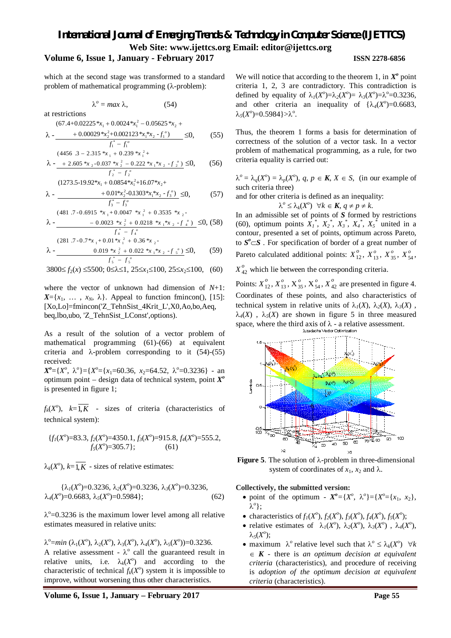## **Volume 6, Issue 1, January - February 2017 ISSN 2278-6856**

which at the second stage was transformed to a standard problem of mathematical programming  $(\lambda$ -problem):

 $\lambda^o = \max \lambda,$  (54)

at restrictions  
(67.4+0.02225 
$$
^{*}x_1
$$
 + 0.0024  $^{*}x_1^2$  – 0.05625  $^{*}x_2$  +

$$
\lambda \cdot \underline{\hspace{1cm} +0.00029 \, {}^*\! x_2^2 + 0.002123 \, {}^*\! x_1 {}^*\! x_2 \cdot f_1^{\, \circ})} \leq 0, \qquad (55)
$$

$$
(4456.3 - 2.315 \cdot x_1 + 0.239 \cdot x_1^2 +
$$
  

$$
\lambda - 2.605 \cdot x_2 - 0.037 \cdot x_2^2 - 0.222 \cdot x_1 \cdot x_2 - f_2^o \le 0,
$$
 (56)

$$
(1273.5-19.92*x_1 + 0.0854*x_1^2 + 16.07*x_2 +
$$

$$
\lambda - \frac{+0.01 * x_2^2 - 0.1303 * x_1 * x_2 - f_3^{\circ}}{f_3^* - f_3^{\circ}} \le 0,
$$
 (57)

$$
(481.7 \cdot 0.6915 \cdot x_1 + 0.0047 \cdot x_1^2 + 0.3535 \cdot x_2 - 0.0023 \cdot x_2^2 + 0.0218 \cdot x_1 \cdot x_2 - f'_4) \le 0, (58)
$$

$$
\begin{array}{r}\n\hline\n\text{1.6023} \quad x_2 + 0.0216 \quad x_1 \quad x_2 - y_4 \quad y \to 0, \\
\hline\nf_4^* - f_4^0\n\end{array}
$$
\n
$$
\begin{array}{r}\n(281.7 - 0.7 * x_1 + 0.01 * x_1^2 + 0.36 * x_2 - \\
0.010 * x_2^2 + 0.022 * x_1 \quad x_2 \quad y \le 0\n\end{array}
$$
\n
$$
\begin{array}{r}\n(56.7 * x_1 + 0.01 * x_1^2 + 0.022 * x_1 \quad y \le 0\n\end{array}
$$

$$
\lambda - \frac{0.019 \cdot x_2^2 + 0.022 \cdot x_1 \cdot x_2 - f_s^o)}{f_s^* - f_s^o} \le 0, \qquad (59)
$$

$$
3800 \le f_2(x) \le 5500; 0 \le \lambda \le 1, 25 \le x_1 \le 100, 25 \le x_2 \le 100, (60)
$$

where the vector of unknown had dimension of *N*+1:  $X = \{x_1, \ldots, x_N, \lambda\}$ . Appeal to function fmincon(), [15]: [Xo,Lo]=fmincon('Z\_TehnSist\_4Krit\_L',X0,Ao,bo,Aeq, beq,lbo,ubo, 'Z\_TehnSist\_LConst',options).

As a result of the solution of a vector problem of mathematical programming (61)-(66) at equivalent criteria and  $\lambda$ -problem corresponding to it (54)-(55) received:

 $X^o = \{X^o, \lambda^o\} = \{X^o = \{x_1 = 60.36, x_2 = 64.52, \lambda^o = 0.3236\}$  - an optimum point – design data of technical system, point *X o* is presented in figure 1;

 $f_k(X^o)$ ,  $k = \overline{1, K}$  - sizes of criteria (characteristics of technical system):

$$
{f_1(X^o)=83.3, f_2(X^o)=4350.1, f_3(X^o)=915.8, f_4(X^o)=555.2, \quad f_5(X^o)=305.7};
$$
 (61)

 $\lambda_k(X^o)$ ,  $k = \overline{1, K}$  - sizes of relative estimates:

$$
\{\lambda_1(X^0)=0.3236, \lambda_2(X^0)=0.3236, \lambda_3(X^0)=0.3236, \lambda_4(X^0)=0.6683, \lambda_5(X^0)=0.5984\};
$$
\n(62)

 $\lambda^{\circ}$ =0.3236 is the maximum lower level among all relative estimates measured in relative units:

 $\lambda^{\circ}$ =min ( $\lambda_1(X^{\circ}), \lambda_2(X^{\circ}), \lambda_3(X^{\circ}), \lambda_4(X^{\circ}), \lambda_5(X^{\circ})$ )=0.3236. A relative assessment -  $\lambda^{\circ}$  call the guaranteed result in relative units, i.e.  $\lambda_k(X^o)$  and according to the characteristic of technical  $f_k(X^o)$  system it is impossible to improve, without worsening thus other characteristics.

**Volume 6, Issue 1, January – February 2017 Page 55**

We will notice that according to the theorem 1, in  $X^{\circ}$  point criteria 1, 2, 3 are contradictory. This contradiction is defined by equality of  $\lambda_I(X^o) = \lambda_2(X^o) = \lambda_3(X^o) = \lambda_3^o = 0.3236$ , and other criteria an inequality of  $\{\lambda_4(X^{\circ})=0.6683,$  $\lambda_5(X^{\circ}) = 0.5984$ }> $\lambda^{\circ}$ .

Thus, the theorem 1 forms a basis for determination of correctness of the solution of a vector task. In a vector problem of mathematical programming, as a rule, for two criteria equality is carried out:

 $\lambda^o = \lambda_q(X^o) = \lambda_p(X^o)$ ,  $q, p \in K$ ,  $X \in S$ , (in our example of such criteria three)

and for other criteria is defined as an inequality:

 $\lambda^o \leq \lambda_k(X^o)$   $\forall k \in \mathbf{K}, q \neq p \neq k.$ 

In an admissible set of points of *S* formed by restrictions (60), optimum points  $X_1^*$ ,  $X_2^*$ ,  $X_3^*$ ,  $X_4^*$ ,  $X_5^*$  united in a contour, presented a set of points, optimum across Pareto, to  $S^{\circ} \subset S$ . For specification of border of a great number of Pareto calculated additional points:  $X_{12}^o$ ,  $X_{13}^o$ ,  $X_{35}^o$ ,  $X_{54}^o$ ,  $X_{42}^o$  which lie between the corresponding criteria.

Points:  $X_{12}^o$ ,  $X_{13}^o$ ,  $X_{35}^o$ ,  $X_{54}^o$ ,  $X_{42}^o$  are presented in figure 4. Coordinates of these points, and also characteristics of technical system in relative units of  $\lambda_1(X)$ ,  $\lambda_2(X)$ ,  $\lambda_3(X)$ ,  $\lambda_4(X)$ ,  $\lambda_5(X)$  are shown in figure 5 in three measured space, where the third axis of  $\lambda$  - a relative assessment.



**Figure 5**. The solution of  $\lambda$ -problem in three-dimensional system of coordinates of  $x_1$ ,  $x_2$  and  $\lambda$ .

### **Collectively, the submitted version:**

- point of the optimum  $X^o = \{X^o, \lambda^o\} = \{X^o = \{x_1, x_2\},\}$ *o* };
- characteristics of  $f_1(X^0)$ ,  $f_2(X^0)$ ,  $f_3(X^0)$ ,  $f_4(X^0)$ ,  $f_5(X^0)$ ;
- relative estimates of  $\lambda_1(X^o)$ ,  $\lambda_2(X^o)$ ,  $\lambda_3(X^o)$ ,  $\lambda_4(X^o)$ ,  $\lambda_5(X^o);$
- maximum  $\lambda^o$  relative level such that  $\lambda^o \leq \lambda_k(X^o)$   $\forall k$  $\in$  **K** - there is *an optimum decision at equivalent criteria* (characteristics), and procedure of receiving is *adoption of the optimum decision at equivalent criteria* (characteristics).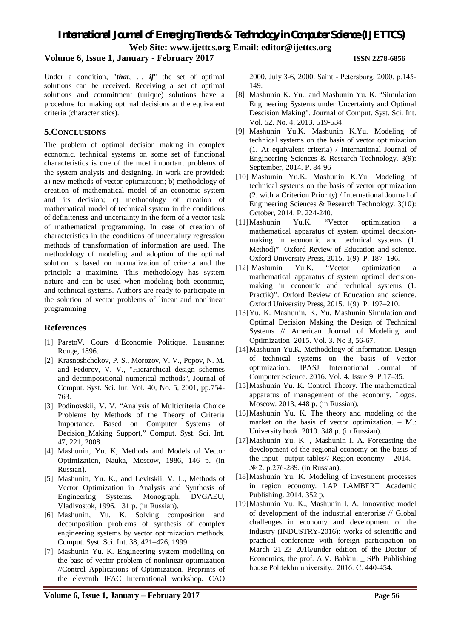## **Volume 6, Issue 1, January - February 2017 ISSN 2278-6856**

Under a condition, "*that*, … *if*" the set of optimal solutions can be received. Receiving a set of optimal solutions and commitment (unique) solutions have a procedure for making optimal decisions at the equivalent criteria (characteristics).

## **5.CONCLUSIONS**

The problem of optimal decision making in complex economic, technical systems on some set of functional characteristics is one of the most important problems of the system analysis and designing. In work are provided: a) new methods of vector optimization; b) methodology of creation of mathematical model of an economic system and its decision; c) methodology of creation of mathematical model of technical system in the conditions of definiteness and uncertainty in the form of a vector task of mathematical programming. In case of creation of characteristics in the conditions of uncertainty regression methods of transformation of information are used. The methodology of modeling and adoption of the optimal solution is based on normalization of criteria and the principle a maximine. This methodology has system nature and can be used when modeling both economic, and technical systems. Authors are ready to participate in the solution of vector problems of linear and nonlinear programming

## **References**

- [1] ParetoV. Cours d'Economie Politique. Lausanne: Rouge, 1896.
- [2] Krasnoshchekov, P. S., Morozov, V. V., Popov, N. M. and Fedorov, V. V., "Hierarchical design schemes and decompositional numerical methods", Journal of Comput. Syst. Sci. Int. Vol. 40, No. 5, 2001, pp.754- 763.
- [3] Podinovskii, V. V. "Analysis of Multicriteria Choice Problems by Methods of the Theory of Criteria Importance, Based on Computer Systems of Decision\_Making Support," Comput. Syst. Sci. Int. 47, 221, 2008.
- [4] Mashunin, Yu. K, Methods and Models of Vector Optimization, Nauka, Moscow, 1986, 146 p. (in Russian).
- [5] Mashunin, Yu. K., and Levitskii, V. L., Methods of Vector Optimization in Analysis and Synthesis of Engineering Systems. Monograph. DVGAEU, Vladivostok, 1996. 131 p. (in Russian).
- [6] Mashunin, Yu. K. Solving composition and decomposition problems of synthesis of complex engineering systems by vector optimization methods. Comput. Syst. Sci. Int. 38, 421–426, 1999.
- [7] Mashunin Yu. K. Engineering system modelling on the base of vector problem of nonlinear optimization //Control Applications of Optimization. Preprints of the eleventh IFAC International workshop. CAO

2000. July 3-6, 2000. Saint - Petersburg, 2000. р.145- 149.

- [8] Mashunin K. Yu., and Mashunin Yu. K. "Simulation Engineering Systems under Uncertainty and Optimal Descision Making". Journal of Comput. Syst. Sci. Int. Vol. 52. No. 4. 2013. 519-534.
- [9] Mashunin Yu.K. Mashunin K.Yu. Modeling of technical systems on the basis of vector optimization (1. At equivalent criteria) / International Journal of Engineering Sciences & Research Technology. 3(9): September, 2014. P. 84-96 .
- [10] Mashunin Yu.K. Mashunin K.Yu. Modeling of technical systems on the basis of vector optimization (2. with a Criterion Priority) / International Journal of Engineering Sciences & Research Technology. 3(10): October, 2014. P. 224-240.
- [11]Mashunin Yu.K. "Vector optimization a mathematical apparatus of system optimal decisionmaking in economic and technical systems (1. Method)". Oxford Review of Education and science.
- Oxford University Press, 2015. 1(9). P. 187–196.<br>Mashunin Yu.K. "Vector optimization [12] Mashunin Yu.K. "Vector optimization mathematical apparatus of system optimal decisionmaking in economic and technical systems (1. Practik)". Oxford Review of Education and science. Oxford University Press, 2015. 1(9). P. 197–210.
- [13]Yu. K. Mashunin, K. Yu. Mashunin Simulation and Optimal Decision Making the Design of Technical Systems // American Journal of Modeling and Optimization. 2015. Vol. 3. No 3, 56-67.
- [14]Mashunin Yu.K. Methodology of information Design of technical systems on the basis of Vector optimization. IPASJ International Journal of Computer Science. 2016. Vol. 4. Issue 9. P.17–35.
- [15]Mashunin Yu. K. Control Theory. The mathematical apparatus of management of the economy. Logos. Moscow. 2013, 448 p. (in Russian).
- [16]Mashunin Yu. K. The theory and modeling of the market on the basis of vector optimization. – M.: University book. 2010. 348 p. (in Russian).
- [17]Mashunin Yu. K. , Mashunin I. A. Forecasting the development of the regional economy on the basis of the input –output tables// Region economy – 2014. - № 2. p.276-289. (in Russian).
- [18]Mashunin Yu. K. Modeling of investment processes in region economy. LAP LAMBERT Academic Publishing. 2014. 352 p.
- [19]Mashunin Yu. K., Mashunin I. A. Innovative model of development of the industrial enterprise // Global challenges in economy and development of the industry (INDUSTRY-2016): works of scientific and practical conference with foreign participation on March 21-23 2016/under edition of the Doctor of Economics, the prof. A.V. Babkin. \_ SPb. Publishing house Politekhn university.. 2016. С. 440-454.